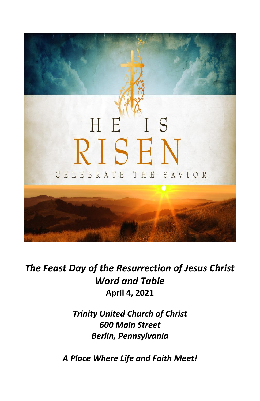

*The Feast Day of the Resurrection of Jesus Christ Word and Table* **April 4, 2021**

> *Trinity United Church of Christ 600 Main Street Berlin, Pennsylvania*

*A Place Where Life and Faith Meet!*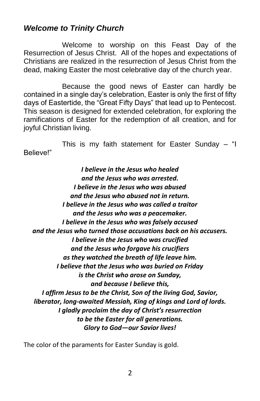# *Welcome to Trinity Church*

Welcome to worship on this Feast Day of the Resurrection of Jesus Christ. All of the hopes and expectations of Christians are realized in the resurrection of Jesus Christ from the dead, making Easter the most celebrative day of the church year.

Because the good news of Easter can hardly be contained in a single day's celebration, Easter is only the first of fifty days of Eastertide, the "Great Fifty Days" that lead up to Pentecost. This season is designed for extended celebration, for exploring the ramifications of Easter for the redemption of all creation, and for joyful Christian living.

This is my faith statement for Easter Sunday – "I Believe!"

*I believe in the Jesus who healed and the Jesus who was arrested. I believe in the Jesus who was abused and the Jesus who abused not in return. I believe in the Jesus who was called a traitor and the Jesus who was a peacemaker. I believe in the Jesus who was falsely accused and the Jesus who turned those accusations back on his accusers. I believe in the Jesus who was crucified and the Jesus who forgave his crucifiers as they watched the breath of life leave him. I believe that the Jesus who was buried on Friday is the Christ who arose on Sunday, and because I believe this, I affirm Jesus to be the Christ, Son of the living God, Savior, liberator, long-awaited Messiah, King of kings and Lord of lords. I gladly proclaim the day of Christ's resurrection to be the Easter for all generations. Glory to God—our Savior lives!*

The color of the paraments for Easter Sunday is gold.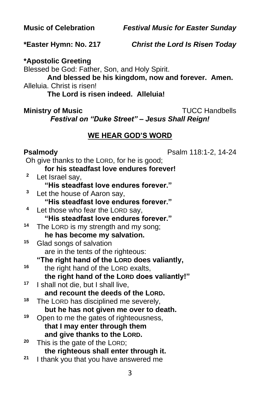**Music of Celebration** *Festival Music for Easter Sunday*

**\*Easter Hymn: No. 217** *Christ the Lord Is Risen Today*

**\*Apostolic Greeting**

Blessed be God: Father, Son, and Holy Spirit.

**And blessed be his kingdom, now and forever. Amen.** Alleluia. Christ is risen!

**The Lord is risen indeed. Alleluia!**

**Ministry of Music** Ministry of Music

*Festival on "Duke Street" – Jesus Shall Reign!*

# **WE HEAR GOD'S WORD**

**Psalmody Psalm 118:1-2, 14-24** 

|             | Oh give thanks to the LORD, for he is good; |
|-------------|---------------------------------------------|
|             | for his steadfast love endures forever!     |
| $\mathbf 2$ | Let Israel say,                             |
|             | "His steadfast love endures forever."       |
| 3           | Let the house of Aaron say,                 |
|             | "His steadfast love endures forever."       |
| 4           | Let those who fear the LORD say,            |
|             | "His steadfast love endures forever."       |
| 14          | The LORD is my strength and my song;        |
|             | he has become my salvation.                 |
| 15          | Glad songs of salvation                     |
|             | are in the tents of the righteous:          |
|             | "The right hand of the LORD does valiantly, |
| 16          | the right hand of the LORD exalts,          |
|             | the right hand of the LORD does valiantly!" |
| 17          | I shall not die, but I shall live,          |
|             | and recount the deeds of the LORD.          |
| 18          | The LORD has disciplined me severely,       |
|             | but he has not given me over to death.      |
| 19          | Open to me the gates of righteousness,      |
|             | that I may enter through them               |
|             | and give thanks to the LORD.                |
| 20          | This is the gate of the LORD;               |
|             | the righteous shall enter through it.       |
| 21          | I thank you that you have answered me       |
|             | 3                                           |
|             |                                             |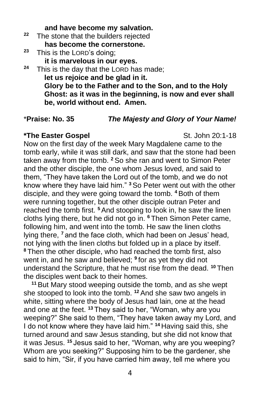#### **and have become my salvation.**

- **<sup>22</sup>** The stone that the builders rejected **has become the cornerstone.**
- **<sup>23</sup>** This is the LORD's doing;
	- **it is marvelous in our eyes.**
- **<sup>24</sup>** This is the day that the LORD has made; **let us rejoice and be glad in it. Glory be to the Father and to the Son, and to the Holy Ghost: as it was in the beginning, is now and ever shall be, world without end. Amen.**

#### \***Praise: No. 35** *The Majesty and Glory of Your Name!*

#### **\*The Easter Gospel** St. John 20:1-18

Now on the first day of the week Mary Magdalene came to the tomb early, while it was still dark, and saw that the stone had been taken away from the tomb. **<sup>2</sup>** So she ran and went to Simon Peter and the other disciple, the one whom Jesus loved, and said to them, "They have taken the Lord out of the tomb, and we do not know where they have laid him." **<sup>3</sup>** So Peter went out with the other disciple, and they were going toward the tomb. **<sup>4</sup>** Both of them were running together, but the other disciple outran Peter and reached the tomb first. **<sup>5</sup>**And stooping to look in, he saw the linen cloths lying there, but he did not go in. **<sup>6</sup>** Then Simon Peter came, following him, and went into the tomb. He saw the linen cloths lying there, **<sup>7</sup>** and the face cloth, which had been on Jesus' head, not lying with the linen cloths but folded up in a place by itself. **<sup>8</sup>** Then the other disciple, who had reached the tomb first, also went in, and he saw and believed; **<sup>9</sup>** for as yet they did not understand the Scripture, that he must rise from the dead. **<sup>10</sup>** Then the disciples went back to their homes.

**<sup>11</sup>** But Mary stood weeping outside the tomb, and as she wept she stooped to look into the tomb. **<sup>12</sup>** And she saw two angels in white, sitting where the body of Jesus had lain, one at the head and one at the feet. **<sup>13</sup>** They said to her, "Woman, why are you weeping?" She said to them, "They have taken away my Lord, and I do not know where they have laid him." **<sup>14</sup>** Having said this, she turned around and saw Jesus standing, but she did not know that it was Jesus. **<sup>15</sup>** Jesus said to her, "Woman, why are you weeping? Whom are you seeking?" Supposing him to be the gardener, she said to him, "Sir, if you have carried him away, tell me where you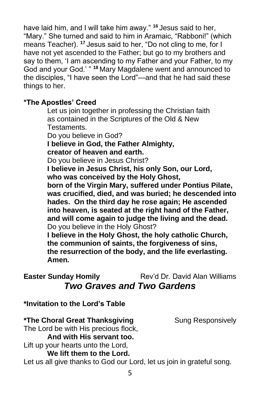have laid him, and I will take him away." **<sup>16</sup>** Jesus said to her, "Mary." She turned and said to him in Aramaic, "Rabboni!" (which means Teacher). **<sup>17</sup>** Jesus said to her, "Do not cling to me, for I have not yet ascended to the Father; but go to my brothers and say to them, 'I am ascending to my Father and your Father, to my God and your God.' " **<sup>18</sup>** Mary Magdalene went and announced to the disciples, "I have seen the Lord"—and that he had said these things to her.

#### **\*The Apostles' Creed**

Let us join together in professing the Christian faith as contained in the Scriptures of the Old & New Testaments. Do you believe in God? **I believe in God, the Father Almighty, creator of heaven and earth.** Do you believe in Jesus Christ? **I believe in Jesus Christ, his only Son, our Lord, who was conceived by the Holy Ghost, born of the Virgin Mary, suffered under Pontius Pilate, was crucified, died, and was buried; he descended into hades. On the third day he rose again; He ascended into heaven, is seated at the right hand of the Father, and will come again to judge the living and the dead.** Do you believe in the Holy Ghost? **I believe in the Holy Ghost, the holy catholic Church, the communion of saints, the forgiveness of sins,**

**the resurrection of the body, and the life everlasting. Amen.**

# **Easter Sunday Homily** Rev'd Dr. David Alan Williams *Two Graves and Two Gardens*

**\*Invitation to the Lord's Table**

#### **\*The Choral Great Thanksgiving Sung Responsively**

The Lord be with His precious flock, **And with His servant too.** Lift up your hearts unto the Lord,

# **We lift them to the Lord.**

Let us all give thanks to God our Lord, let us join in grateful song.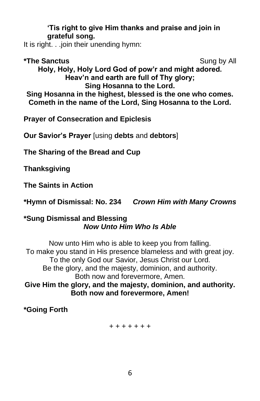#### **'Tis right to give Him thanks and praise and join in grateful song.**

It is right. . .join their unending hymn:

\*The Sanctus **Sung by All Sung by All Holy, Holy, Holy Lord God of pow'r and might adored. Heav'n and earth are full of Thy glory; Sing Hosanna to the Lord. Sing Hosanna in the highest, blessed is the one who comes. Cometh in the name of the Lord, Sing Hosanna to the Lord.**

**Prayer of Consecration and Epiclesis**

**Our Savior's Prayer** [using **debts** and **debtors**]

**The Sharing of the Bread and Cup**

**Thanksgiving**

**The Saints in Action**

**\*Hymn of Dismissal: No. 234** *Crown Him with Many Crowns*

#### **\*Sung Dismissal and Blessing** *Now Unto Him Who Is Able*

Now unto Him who is able to keep you from falling. To make you stand in His presence blameless and with great joy. To the only God our Savior, Jesus Christ our Lord. Be the glory, and the majesty, dominion, and authority. Both now and forevermore, Amen. **Give Him the glory, and the majesty, dominion, and authority. Both now and forevermore, Amen!**

**\*Going Forth**

#### + + + + + + +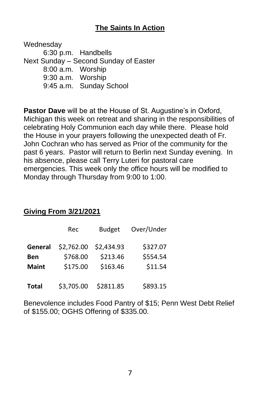# **The Saints In Action**

Wednesday 6:30 p.m. Handbells Next Sunday – Second Sunday of Easter 8:00 a.m. Worship 9:30 a.m. Worship 9:45 a.m. Sunday School

**Pastor Dave** will be at the House of St. Augustine's in Oxford, Michigan this week on retreat and sharing in the responsibilities of celebrating Holy Communion each day while there. Please hold the House in your prayers following the unexpected death of Fr. John Cochran who has served as Prior of the community for the past 6 years. Pastor will return to Berlin next Sunday evening. In his absence, please call Terry Luteri for pastoral care emergencies. This week only the office hours will be modified to Monday through Thursday from 9:00 to 1:00.

#### **Giving From 3/21/2021**

|              | Rec        | <b>Budget</b> | Over/Under |
|--------------|------------|---------------|------------|
| General      | \$2,762.00 | \$2,434.93    | \$327.07   |
| <b>Ben</b>   | \$768.00   | \$213.46      | \$554.54   |
| <b>Maint</b> | \$175.00   | \$163.46      | \$11.54    |
| <b>Total</b> | \$3,705.00 | \$2811.85     | \$893.15   |

Benevolence includes Food Pantry of \$15; Penn West Debt Relief of \$155.00; OGHS Offering of \$335.00.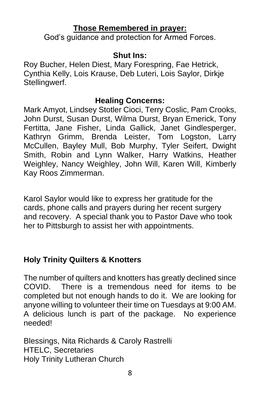# **Those Remembered in prayer:**

God's guidance and protection for Armed Forces.

## **Shut Ins:**

Roy Bucher, Helen Diest, Mary Forespring, Fae Hetrick, Cynthia Kelly, Lois Krause, Deb Luteri, Lois Saylor, Dirkje Stellingwerf.

## **Healing Concerns:**

Mark Amyot, Lindsey Stotler Cioci, Terry Coslic, Pam Crooks, John Durst, Susan Durst, Wilma Durst, Bryan Emerick, Tony Fertitta, Jane Fisher, Linda Gallick, Janet Gindlesperger, Kathryn Grimm, Brenda Leister, Tom Logston, Larry McCullen, Bayley Mull, Bob Murphy, Tyler Seifert, Dwight Smith, Robin and Lynn Walker, Harry Watkins, Heather Weighley, Nancy Weighley, John Will, Karen Will, Kimberly Kay Roos Zimmerman.

Karol Saylor would like to express her gratitude for the cards, phone calls and prayers during her recent surgery and recovery. A special thank you to Pastor Dave who took her to Pittsburgh to assist her with appointments.

# **Holy Trinity Quilters & Knotters**

The number of quilters and knotters has greatly declined since COVID. There is a tremendous need for items to be completed but not enough hands to do it. We are looking for anyone willing to volunteer their time on Tuesdays at 9:00 AM. A delicious lunch is part of the package. No experience needed!

Blessings, Nita Richards & Caroly Rastrelli HTELC, Secretaries Holy Trinity Lutheran Church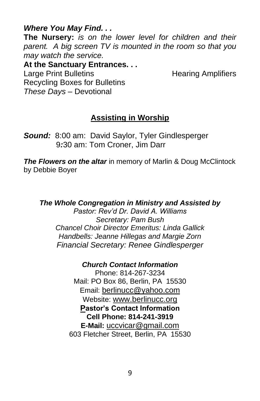*Where You May Find. . .*

**The Nursery:** *is on the lower level for children and their parent. A big screen TV is mounted in the room so that you may watch the service.*

**At the Sanctuary Entrances. . .** Large Print Bulletins **Example 20** Hearing Amplifiers Recycling Boxes for Bulletins *These Days –* Devotional

# **Assisting in Worship**

*Sound:* 8:00 am: David Saylor, Tyler Gindlesperger 9*:*30 am: Tom Croner, Jim Darr

*The Flowers on the altar* in memory of Marlin & Doug McClintock by Debbie Boyer

*The Whole Congregation in Ministry and Assisted by Pastor: Rev'd Dr. David A. Williams Secretary: Pam Bush Chancel Choir Director Emeritus: Linda Gallick Handbells: Jeanne Hillegas and Margie Zorn Financial Secretary: Renee Gindlesperger*

*Church Contact Information*

Phone: 814-267-3234 Mail: PO Box 86, Berlin, PA 15530 Email: [berlinucc@yahoo.com](mailto:berlinucc@yahoo.com) Website: [www.berlinucc.org](http://www.berlinucc.org/) **Pastor's Contact Information Cell Phone: 814-241-3919 E-Mail:** [uccvicar@gmail.com](mailto:uccvicar@gmail.com) 603 Fletcher Street, Berlin, PA 15530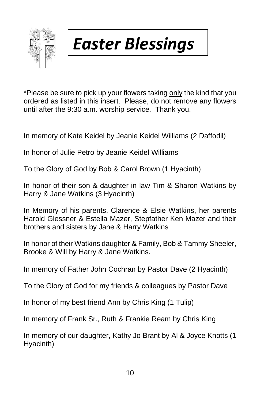

# *Easter Blessings*

\*Please be sure to pick up your flowers taking only the kind that you ordered as listed in this insert. Please, do not remove any flowers until after the 9:30 a.m. worship service. Thank you.

In memory of Kate Keidel by Jeanie Keidel Williams (2 Daffodil)

In honor of Julie Petro by Jeanie Keidel Williams

To the Glory of God by Bob & Carol Brown (1 Hyacinth)

In honor of their son & daughter in law Tim & Sharon Watkins by Harry & Jane Watkins (3 Hyacinth)

In Memory of his parents, Clarence & Elsie Watkins, her parents Harold Glessner & Estella Mazer, Stepfather Ken Mazer and their brothers and sisters by Jane & Harry Watkins

In honor of their Watkins daughter & Family, Bob & Tammy Sheeler, Brooke & Will by Harry & Jane Watkins.

In memory of Father John Cochran by Pastor Dave (2 Hyacinth)

To the Glory of God for my friends & colleagues by Pastor Dave

In honor of my best friend Ann by Chris King (1 Tulip)

In memory of Frank Sr., Ruth & Frankie Ream by Chris King

In memory of our daughter, Kathy Jo Brant by Al & Joyce Knotts (1 Hyacinth)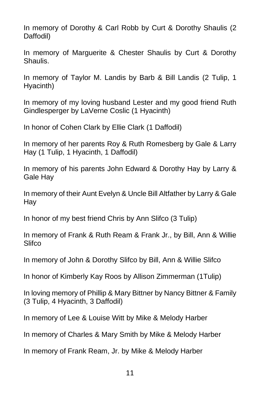In memory of Dorothy & Carl Robb by Curt & Dorothy Shaulis (2 Daffodil)

In memory of Marguerite & Chester Shaulis by Curt & Dorothy Shaulis.

In memory of Taylor M. Landis by Barb & Bill Landis (2 Tulip, 1 Hyacinth)

In memory of my loving husband Lester and my good friend Ruth Gindlesperger by LaVerne Coslic (1 Hyacinth)

In honor of Cohen Clark by Ellie Clark (1 Daffodil)

In memory of her parents Roy & Ruth Romesberg by Gale & Larry Hay (1 Tulip, 1 Hyacinth, 1 Daffodil)

In memory of his parents John Edward & Dorothy Hay by Larry & Gale Hay

In memory of their Aunt Evelyn & Uncle Bill Altfather by Larry & Gale Hay

In honor of my best friend Chris by Ann Slifco (3 Tulip)

In memory of Frank & Ruth Ream & Frank Jr., by Bill, Ann & Willie **Slifco** 

In memory of John & Dorothy Slifco by Bill, Ann & Willie Slifco

In honor of Kimberly Kay Roos by Allison Zimmerman (1Tulip)

In loving memory of Phillip & Mary Bittner by Nancy Bittner & Family (3 Tulip, 4 Hyacinth, 3 Daffodil)

In memory of Lee & Louise Witt by Mike & Melody Harber

In memory of Charles & Mary Smith by Mike & Melody Harber

In memory of Frank Ream, Jr. by Mike & Melody Harber